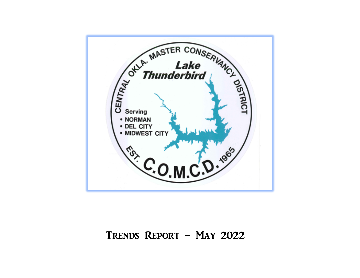

# TRENDS REPORT – MAY 2022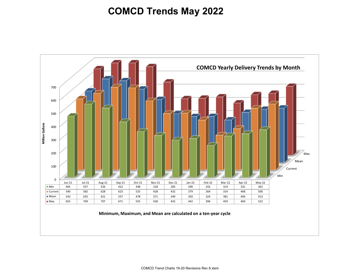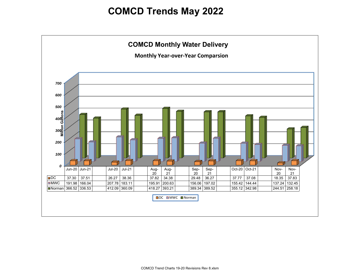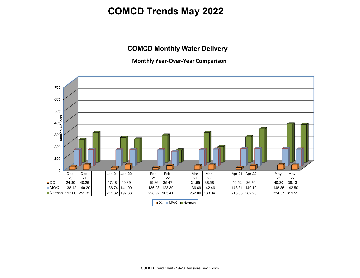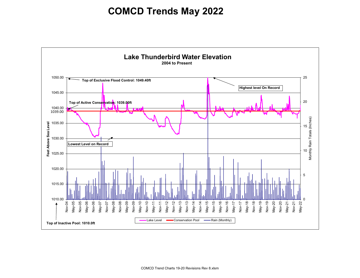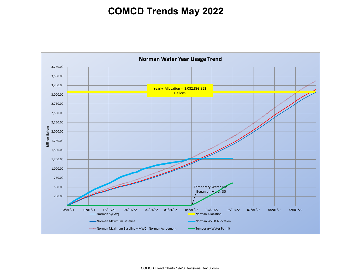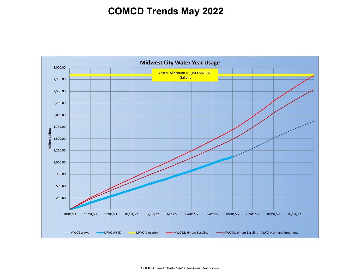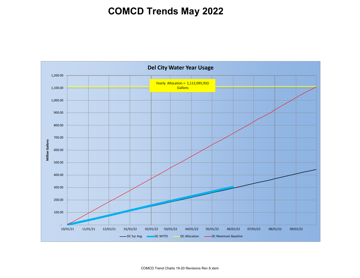